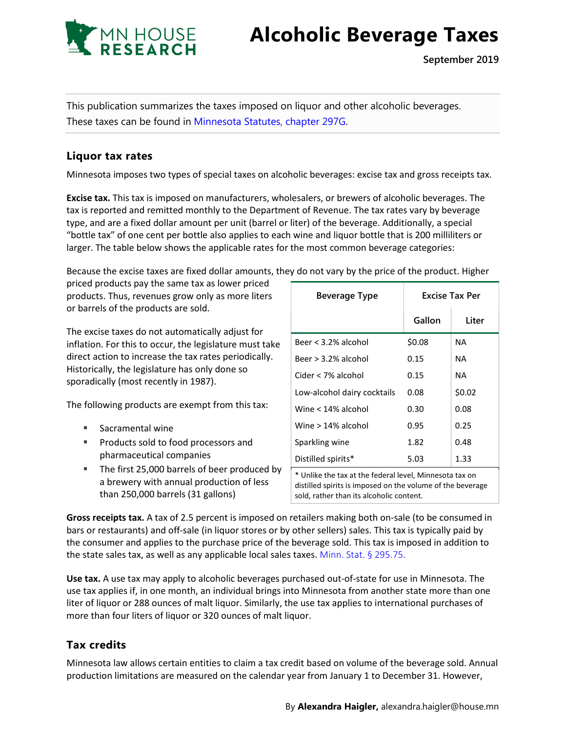

# **Alcoholic Beverage Taxes**

This publication summarizes the taxes imposed on liquor and other alcoholic beverages. These taxes can be found in [Minnesota Statutes, chapter 297G.](https://www.revisor.mn.gov/statutes/cite/297G)

#### **Liquor tax rates**

Minnesota imposes two types of special taxes on alcoholic beverages: excise tax and gross receipts tax.

**Excise tax.** This tax is imposed on manufacturers, wholesalers, or brewers of alcoholic beverages. The tax is reported and remitted monthly to the Department of Revenue. The tax rates vary by beverage type, and are a fixed dollar amount per unit (barrel or liter) of the beverage. Additionally, a special "bottle tax" of one cent per bottle also applies to each wine and liquor bottle that is 200 milliliters or larger. The table below shows the applicable rates for the most common beverage categories:

Because the excise taxes are fixed dollar amounts, they do not vary by the price of the product. Higher

priced products pay the same tax as lower priced products. Thus, revenues grow only as more liters or barrels of the products are sold.

The excise taxes do not automatically adjust for inflation. For this to occur, the legislature must take direct action to increase the tax rates periodically. Historically, the legislature has only done so sporadically (most recently in 1987).

The following products are exempt from this tax:

- Sacramental wine
- **Products sold to food processors and** pharmaceutical companies
- The first 25,000 barrels of beer produced by a brewery with annual production of less than 250,000 barrels (31 gallons)

| <b>Beverage Type</b>                                    | <b>Excise Tax Per</b> |           |  |
|---------------------------------------------------------|-----------------------|-----------|--|
|                                                         | Gallon                | Liter     |  |
| Beer < 3.2% alcohol                                     | \$0.08                | ΝA        |  |
| Beer $> 3.2\%$ alcohol                                  | 0.15                  | <b>NA</b> |  |
| Cider < 7% alcohol                                      | 0.15                  | ΝA        |  |
| Low-alcohol dairy cocktails                             | 0.08                  | \$0.02    |  |
| Wine < 14% alcohol                                      | 0.30                  | 0.08      |  |
| Wine > 14% alcohol                                      | 0.95                  | 0.25      |  |
| Sparkling wine                                          | 1.82                  | 0.48      |  |
| Distilled spirits*                                      | 5.03                  | 1.33      |  |
| * Unlike the tax at the federal level, Minnesota tax on |                       |           |  |

distilled spirits is imposed on the volume of the beverage sold, rather than its alcoholic content.

**Gross receipts tax.** A tax of 2.5 percent is imposed on retailers making both on-sale (to be consumed in bars or restaurants) and off-sale (in liquor stores or by other sellers) sales. This tax is typically paid by the consumer and applies to the purchase price of the beverage sold. This tax is imposed in addition to the state sales tax, as well as any applicable local sales taxes. [Minn. Stat. §](https://www.revisor.mn.gov/statutes/cite/295.75) 295.75.

**Use tax.** A use tax may apply to alcoholic beverages purchased out-of-state for use in Minnesota. The use tax applies if, in one month, an individual brings into Minnesota from another state more than one liter of liquor or 288 ounces of malt liquor. Similarly, the use tax applies to international purchases of more than four liters of liquor or 320 ounces of malt liquor.

## **Tax credits**

Minnesota law allows certain entities to claim a tax credit based on volume of the beverage sold. Annual production limitations are measured on the calendar year from January 1 to December 31. However,